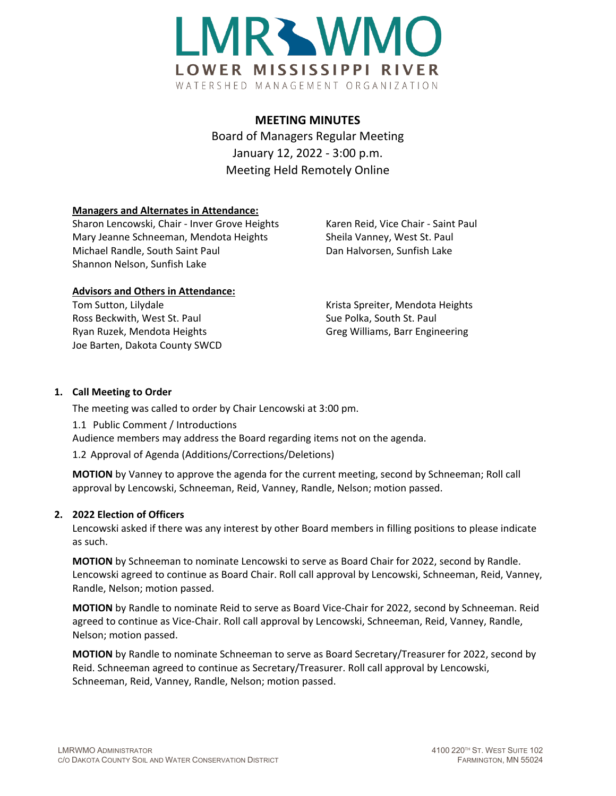

# **MEETING MINUTES** Board of Managers Regular Meeting January 12, 2022 - 3:00 p.m. Meeting Held Remotely Online

## **Managers and Alternates in Attendance:**

Sharon Lencowski, Chair - Inver Grove Heights Karen Reid, Vice Chair - Saint Paul Mary Jeanne Schneeman, Mendota Heights Sheila Vanney, West St. Paul Michael Randle, South Saint Paul Dan Halvorsen, Sunfish Lake Shannon Nelson, Sunfish Lake

## **Advisors and Others in Attendance:**

Tom Sutton, Lilydale **Krista Spreiter, Mendota Heights** Krista Spreiter, Mendota Heights Ross Beckwith, West St. Paul Sue Polka, South St. Paul Sue Polka, South St. Paul Ryan Ruzek, Mendota Heights Greg Williams, Barr Engineering Joe Barten, Dakota County SWCD

# **1. Call Meeting to Order**

The meeting was called to order by Chair Lencowski at 3:00 pm.

1.1 Public Comment / Introductions

Audience members may address the Board regarding items not on the agenda.

1.2 Approval of Agenda (Additions/Corrections/Deletions)

**MOTION** by Vanney to approve the agenda for the current meeting, second by Schneeman; Roll call approval by Lencowski, Schneeman, Reid, Vanney, Randle, Nelson; motion passed.

# **2. 2022 Election of Officers**

Lencowski asked if there was any interest by other Board members in filling positions to please indicate as such.

**MOTION** by Schneeman to nominate Lencowski to serve as Board Chair for 2022, second by Randle. Lencowski agreed to continue as Board Chair. Roll call approval by Lencowski, Schneeman, Reid, Vanney, Randle, Nelson; motion passed.

**MOTION** by Randle to nominate Reid to serve as Board Vice-Chair for 2022, second by Schneeman. Reid agreed to continue as Vice-Chair. Roll call approval by Lencowski, Schneeman, Reid, Vanney, Randle, Nelson; motion passed.

**MOTION** by Randle to nominate Schneeman to serve as Board Secretary/Treasurer for 2022, second by Reid. Schneeman agreed to continue as Secretary/Treasurer. Roll call approval by Lencowski, Schneeman, Reid, Vanney, Randle, Nelson; motion passed.